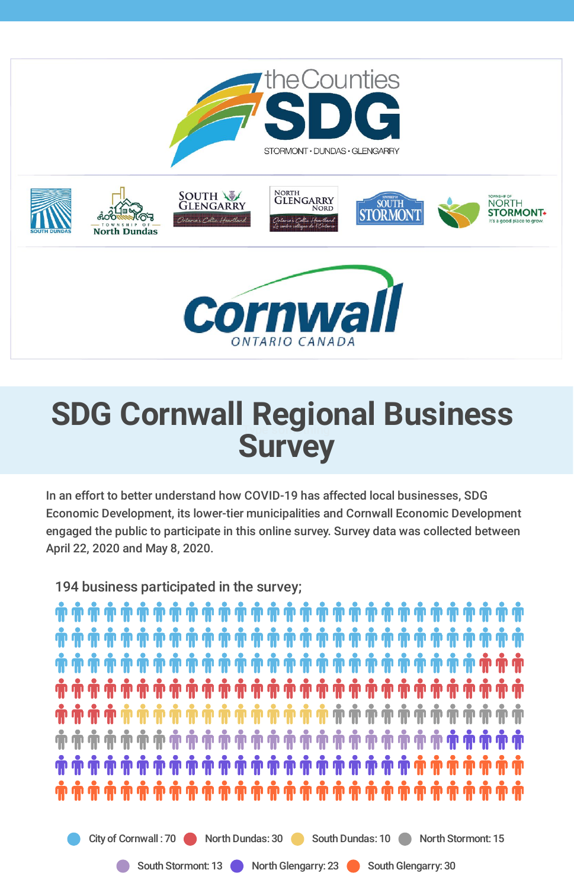

# **SDG** Cornwall Regional Business **Survey**

In an effort to better understand how COVID-19 has affected local businesses, SDG Economic Development, its lower-tier municipalities and Cornwall Economic Development engaged the public to participate in this online survey. Survey data was collected between April 22, 2020 and May 8, 2020.

194 business participated in the survey;

٦٠) شَرْبَةُ شَرِيفَ اللَّهِ عَلَيْهِ شَرَّاسٍ شَرَّاسٍ فَإِنَّ شَرَّاسٍ فَإِنَّ شَرَّاسٍ فَإِنَّ شَر الله فَق **ۛۺۺۺۺۺۺۺۺۺۺۺۺۺۺۺۺۺۺۺۺۺۺۺۺۺۺۺۺۺ** ٦) شَرْبَة اللَّهِ عَلَيْهِ اللَّهِ عَلَيْهِ اللَّهِ عَلَيْهِ اللَّهِ عَلَيْهِ اللَّهِ عَلَيْهِ اللَّهَ عَلَيْ ٦٠) شَرْبَةَ شَرْبَةَ اللَّهِ رَبِّكَ اللَّهِ اللَّهِ اللَّهِ اللَّهِ اللَّهِ اللَّهِ اللَّهِ اللَّهَ اللَّهَ و

City of Cornwall : 70 North Dundas: 30 South Dundas: 10 North Stormont: 15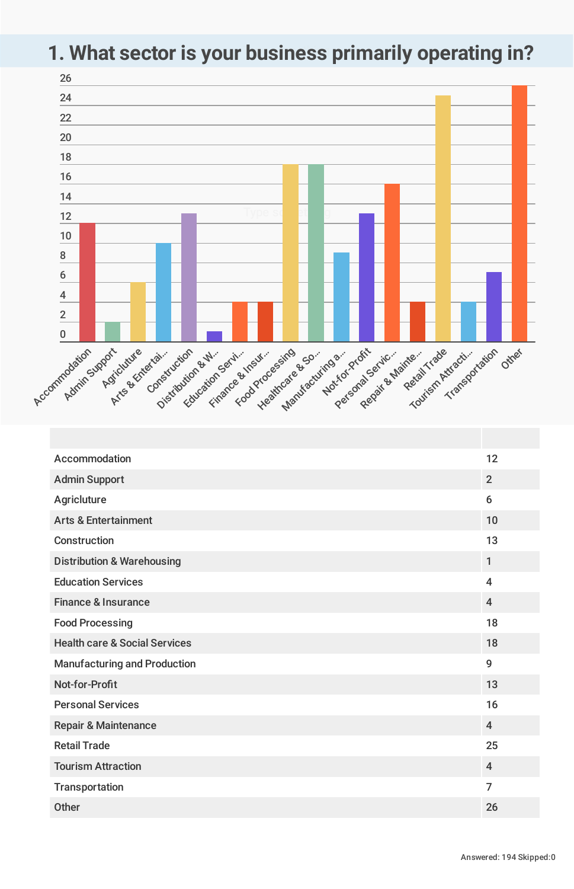### **1. What sector is your business primarily operating in?**



| Accommodation                            | 12                      |
|------------------------------------------|-------------------------|
| <b>Admin Support</b>                     | $\overline{2}$          |
| Agricluture                              | 6                       |
| <b>Arts &amp; Entertainment</b>          | 10                      |
| Construction                             | 13                      |
| <b>Distribution &amp; Warehousing</b>    | $\mathbf{1}$            |
| <b>Education Services</b>                | $\overline{\mathbf{4}}$ |
| <b>Finance &amp; Insurance</b>           | $\overline{4}$          |
| <b>Food Processing</b>                   | 18                      |
| <b>Health care &amp; Social Services</b> | 18                      |
| <b>Manufacturing and Production</b>      | 9                       |
| Not-for-Profit                           | 13                      |
| <b>Personal Services</b>                 | 16                      |
| <b>Repair &amp; Maintenance</b>          | $\overline{4}$          |
| <b>Retail Trade</b>                      | 25                      |
| <b>Tourism Attraction</b>                | $\overline{4}$          |
| Transportation                           | $\overline{7}$          |
| <b>Other</b>                             | 26                      |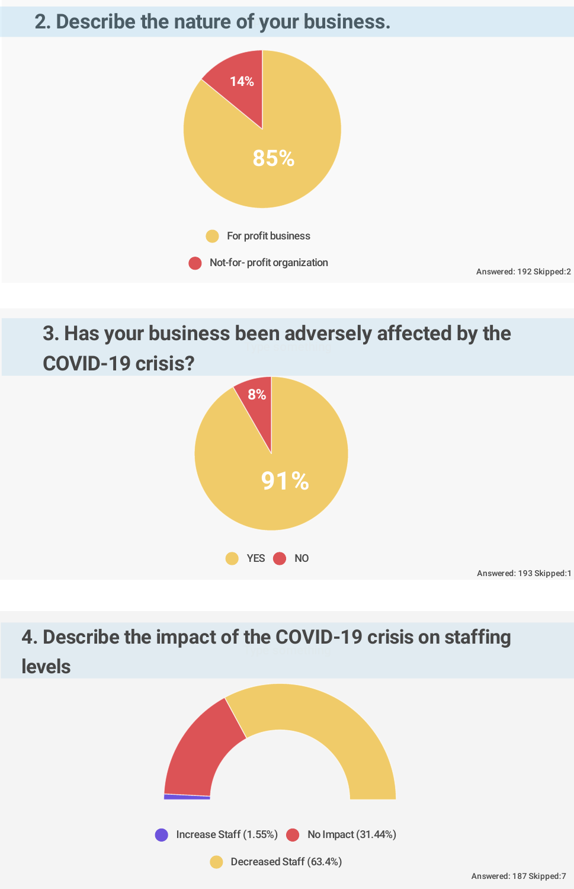### **2. Describe the nature of your business.**



## **3. Has your business been adversely affected by the COVID-19 crisis?**



## **4. Describe the impact of the COVID-19 crisis on staffing levels**

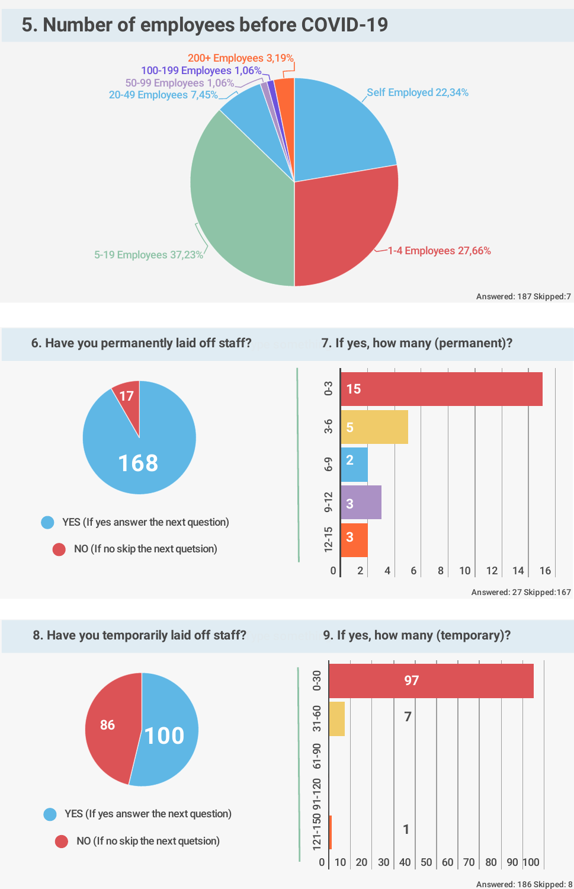### **5. Number of employees before COVID-19**



#### **6. Have you permanently laid off staff?**



#### Type something **7. If yes, how many (permanent)?**



#### **8. Have you temporarily laid off staff?**



Type something **9. If yes, how many (temporary)?**



Answered: 186 Skipped: 8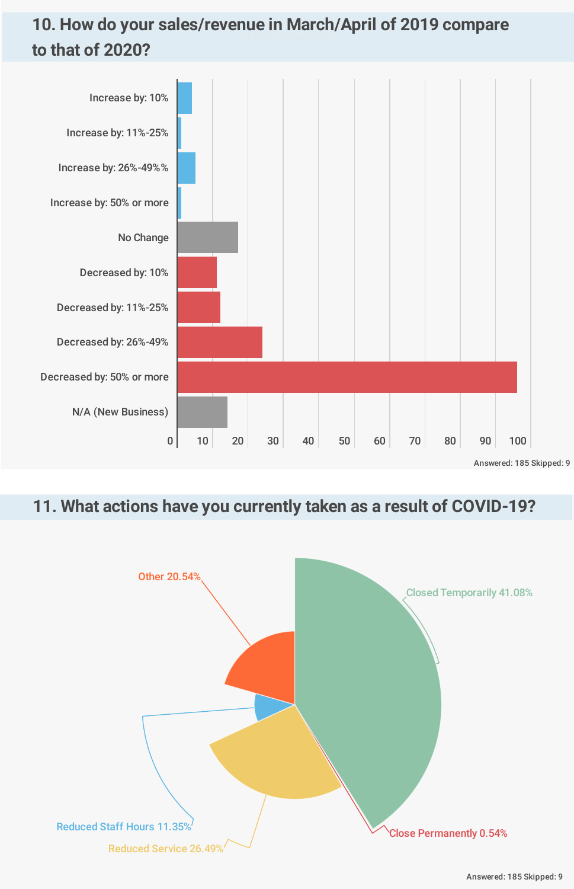### **10. How do your sales/revenue in March/April of 2019 compare to that of 2020?**



#### 11. What actions have you currently taken as a result of COVID-19?



Answered: 185 Skipped: 9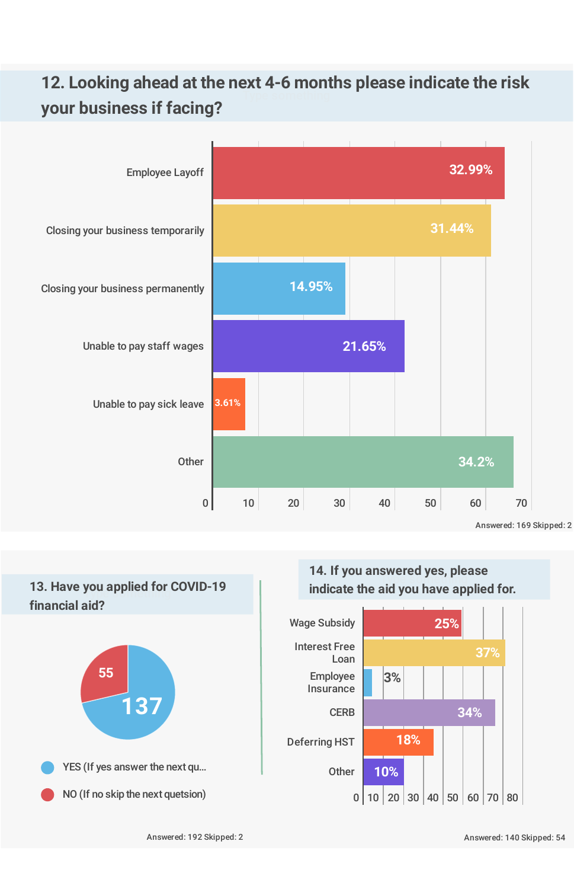### **12. Looking ahead at the next 4-6 months please indicate the risk your business if facing?**



# Type something **13. Have you applied for COVID-19 financial aid?**





 $0 | 10 | 20 | 30 | 40 | 50 | 60 | 70 | 80$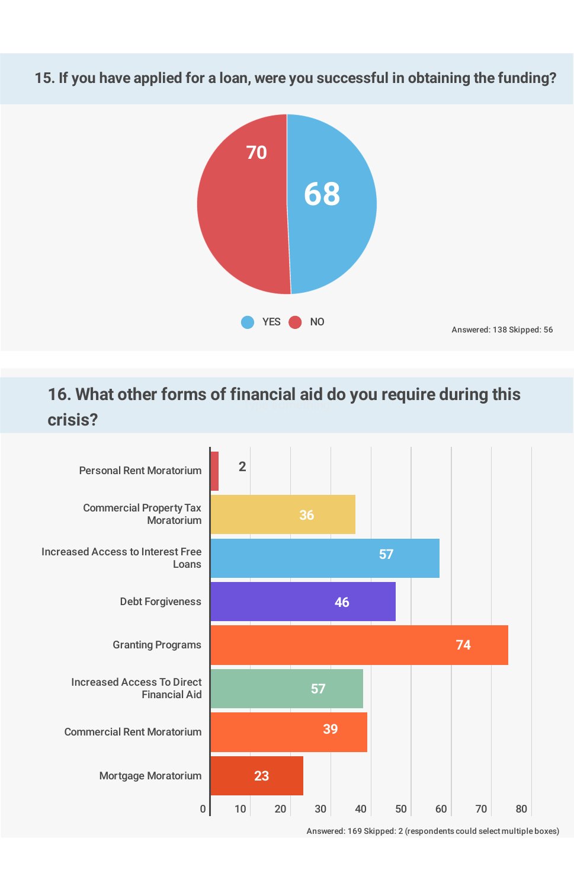15. If you have applied for a loan, were you successful in obtaining the funding?



### **16. What other forms of financial aid do you require during this crisis?**



Answered: 169 Skipped: 2 (respondents could select multiple boxes)